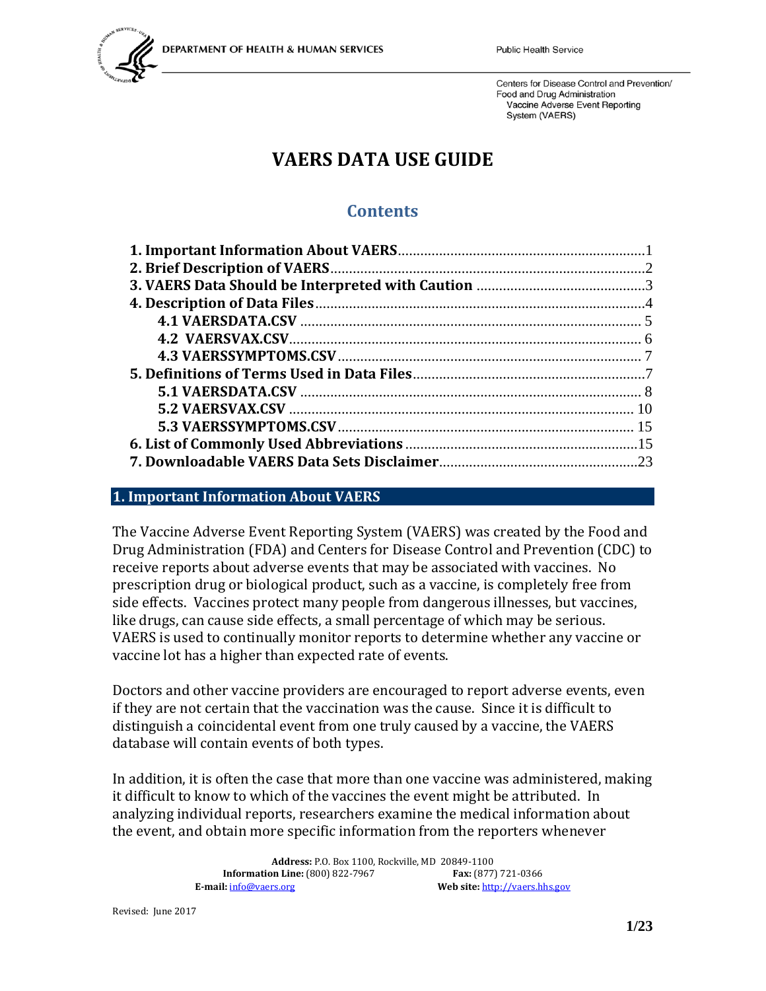

# **VAERS DATA USE GUIDE**

## **Contents**

#### <span id="page-0-0"></span>**1. Important Information About VAERS**

The Vaccine Adverse Event Reporting System (VAERS) was created by the Food and Drug Administration (FDA) and Centers for Disease Control and Prevention (CDC) to receive reports about adverse events that may be associated with vaccines. No prescription drug or biological product, such as a vaccine, is completely free from side effects. Vaccines protect many people from dangerous illnesses, but vaccines, like drugs, can cause side effects, a small percentage of which may be serious. VAERS is used to continually monitor reports to determine whether any vaccine or vaccine lot has a higher than expected rate of events.

Doctors and other vaccine providers are encouraged to report adverse events, even if they are not certain that the vaccination was the cause. Since it is difficult to distinguish a coincidental event from one truly caused by a vaccine, the VAERS database will contain events of both types.

In addition, it is often the case that more than one vaccine was administered, making it difficult to know to which of the vaccines the event might be attributed. In analyzing individual reports, researchers examine the medical information about the event, and obtain more specific information from the reporters whenever

> **Address:** P.O. Box 1100, Rockville, MD 20849-1100 **Information Line:** (800) 822-7967<br>**E-mail:**  $\frac{\text{info@vaers.org}}{}$ Web site: [http://vaers.hhs.gov](http://vaers.hhs.gov/)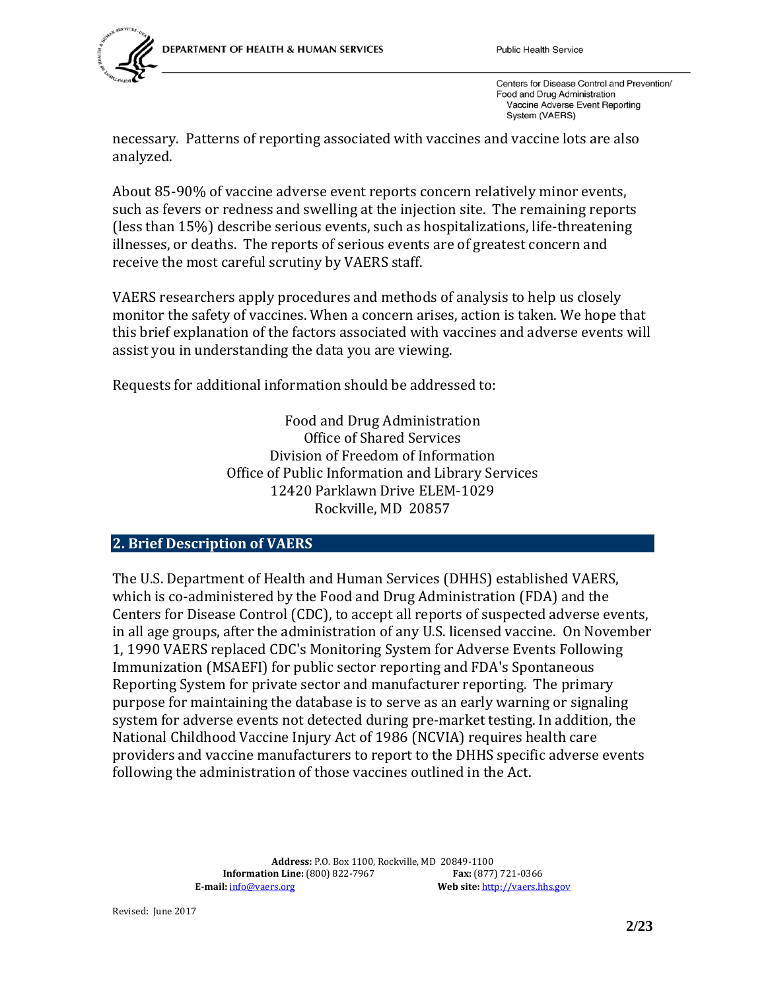

necessary. Patterns of reporting associated with vaccines and vaccine lots are also analyzed.

About 85-90% of vaccine adverse event reports concern relatively minor events, such as fevers or redness and swelling at the injection site. The remaining reports (less than 15%) describe serious events, such as hospitalizations, life-threatening illnesses, or deaths. The reports of serious events are of greatest concern and receive the most careful scrutiny by VAERS staff.

VAERS researchers apply procedures and methods of analysis to help us closely monitor the safety of vaccines. When a concern arises, action is taken. We hope that this brief explanation of the factors associated with vaccines and adverse events will assist you in understanding the data you are viewing.

Requests for additional information should be addressed to:

Food and Drug Administration Office of Shared Services Division of Freedom of Information Office of Public Information and Library Services 12420 Parklawn Drive ELEM-1029 Rockville, MD 20857

#### <span id="page-1-0"></span>**2. Brief Description of VAERS**

The U.S. Department of Health and Human Services (DHHS) established VAERS, which is co-administered by the Food and Drug Administration (FDA) and the Centers for Disease Control (CDC), to accept all reports of suspected adverse events, in all age groups, after the administration of any U.S. licensed vaccine. On November 1, 1990 VAERS replaced CDC's Monitoring System for Adverse Events Following Immunization (MSAEFI) for public sector reporting and FDA's Spontaneous Reporting System for private sector and manufacturer reporting. The primary purpose for maintaining the database is to serve as an early warning or signaling system for adverse events not detected during pre-market testing. In addition, the National Childhood Vaccine Injury Act of 1986 (NCVIA) requires health care providers and vaccine manufacturers to report to the DHHS specific adverse events following the administration of those vaccines outlined in the Act.

> **Address:** P.O. Box 1100, Rockville, MD 20849-1100 **Information Line:** (800) 822-7967<br>**E-mail:**  $\frac{\text{info@vaers.org}}{\text{़$ Web site: [http://vaers.hhs.gov](http://vaers.hhs.gov/)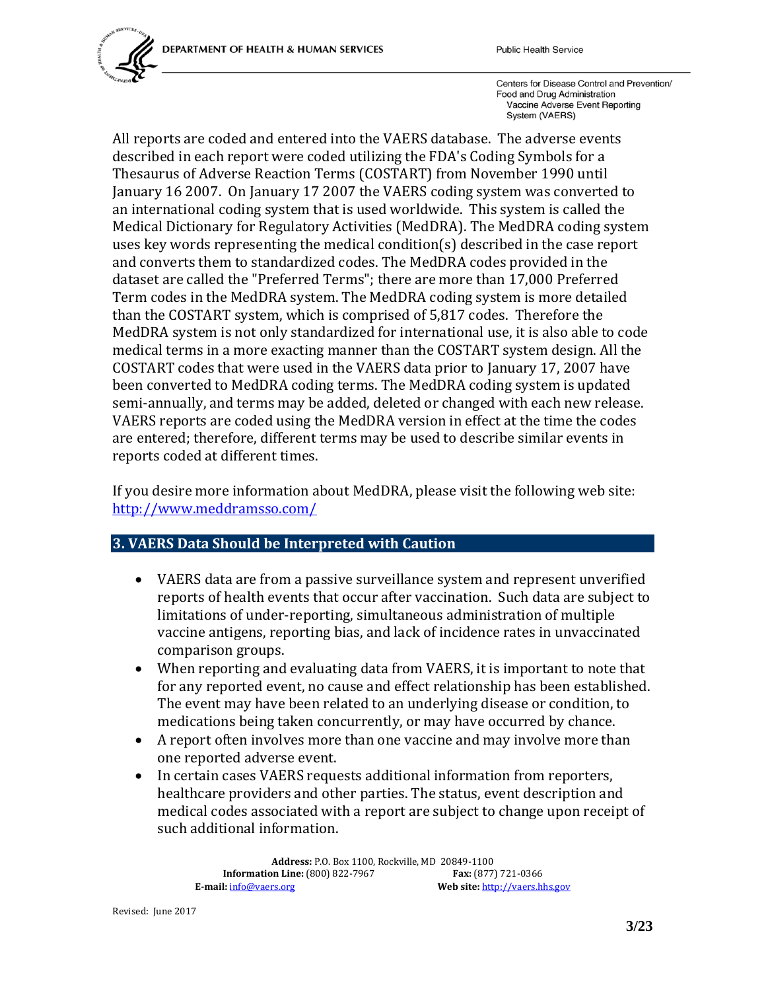

All reports are coded and entered into the VAERS database. The adverse events described in each report were coded utilizing the FDA's Coding Symbols for a Thesaurus of Adverse Reaction Terms (COSTART) from November 1990 until January 16 2007. On January 17 2007 the VAERS coding system was converted to an international coding system that is used worldwide. This system is called the Medical Dictionary for Regulatory Activities (MedDRA). The MedDRA coding system uses key words representing the medical condition(s) described in the case report and converts them to standardized codes. The MedDRA codes provided in the dataset are called the "Preferred Terms"; there are more than 17,000 Preferred Term codes in the MedDRA system. The MedDRA coding system is more detailed than the COSTART system, which is comprised of 5,817 codes. Therefore the MedDRA system is not only standardized for international use, it is also able to code medical terms in a more exacting manner than the COSTART system design. All the COSTART codes that were used in the VAERS data prior to January 17, 2007 have been converted to MedDRA coding terms. The MedDRA coding system is updated semi-annually, and terms may be added, deleted or changed with each new release. VAERS reports are coded using the MedDRA version in effect at the time the codes are entered; therefore, different terms may be used to describe similar events in reports coded at different times.

If you desire more information about MedDRA, please visit the following web site: <http://www.meddramsso.com/>

## <span id="page-2-0"></span>**3. VAERS Data Should be Interpreted with Caution**

- VAERS data are from a passive surveillance system and represent unverified reports of health events that occur after vaccination. Such data are subject to limitations of under-reporting, simultaneous administration of multiple vaccine antigens, reporting bias, and lack of incidence rates in unvaccinated comparison groups.
- When reporting and evaluating data from VAERS, it is important to note that for any reported event, no cause and effect relationship has been established. The event may have been related to an underlying disease or condition, to medications being taken concurrently, or may have occurred by chance.
- A report often involves more than one vaccine and may involve more than one reported adverse event.
- In certain cases VAERS requests additional information from reporters, healthcare providers and other parties. The status, event description and medical codes associated with a report are subject to change upon receipt of such additional information.

**Address:** P.O. Box 1100, Rockville, MD 20849-1100 **Information Line:** (800) 822-7967<br>**E-mail:**  $\frac{\text{info@vaers.org}}{}$ Web site: [http://vaers.hhs.gov](http://vaers.hhs.gov/)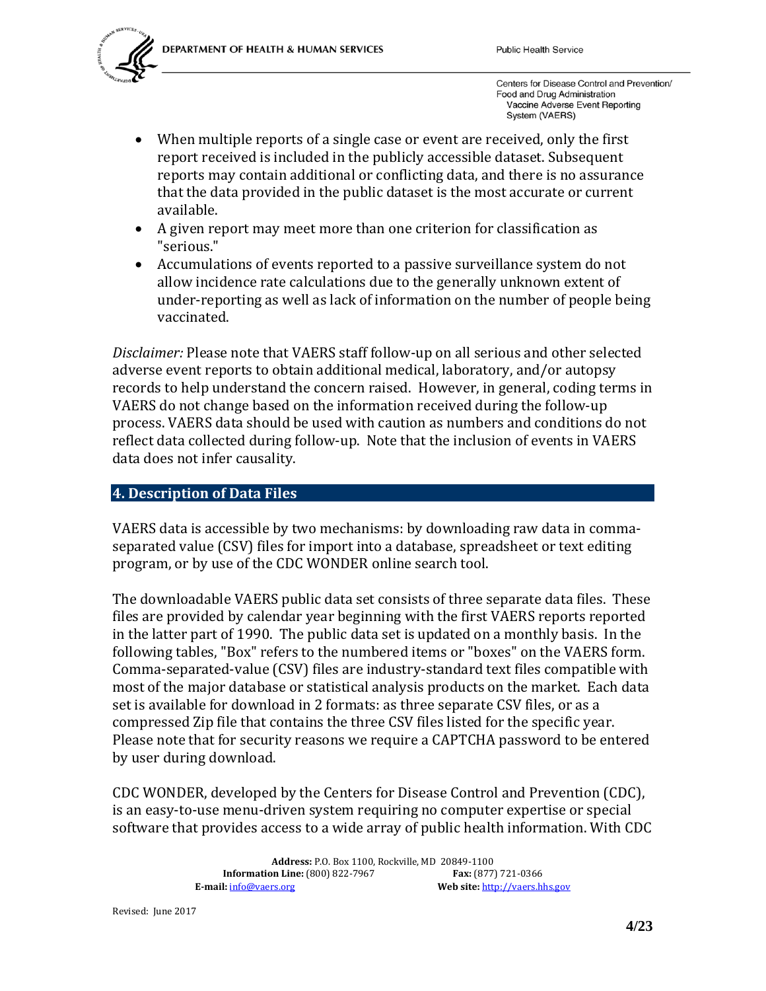

- When multiple reports of a single case or event are received, only the first report received is included in the publicly accessible dataset. Subsequent reports may contain additional or conflicting data, and there is no assurance that the data provided in the public dataset is the most accurate or current available.
- A given report may meet more than one criterion for classification as "serious."
- Accumulations of events reported to a passive surveillance system do not allow incidence rate calculations due to the generally unknown extent of under-reporting as well as lack of information on the number of people being vaccinated.

*Disclaimer:* Please note that VAERS staff follow-up on all serious and other selected adverse event reports to obtain additional medical, laboratory, and/or autopsy records to help understand the concern raised. However, in general, coding terms in VAERS do not change based on the information received during the follow-up process. VAERS data should be used with caution as numbers and conditions do not reflect data collected during follow-up. Note that the inclusion of events in VAERS data does not infer causality.

#### <span id="page-3-0"></span>**4. Description of Data Files**

VAERS data is accessible by two mechanisms: by downloading raw data in commaseparated value (CSV) files for import into a database, spreadsheet or text editing program, or by use of the CDC WONDER online search tool.

The downloadable VAERS public data set consists of three separate data files. These files are provided by calendar year beginning with the first VAERS reports reported in the latter part of 1990. The public data set is updated on a monthly basis. In the following tables, "Box" refers to the numbered items or "boxes" on the VAERS form. Comma-separated-value (CSV) files are industry-standard text files compatible with most of the major database or statistical analysis products on the market. Each data set is available for download in 2 formats: as three separate CSV files, or as a compressed Zip file that contains the three CSV files listed for the specific year. Please note that for security reasons we require a CAPTCHA password to be entered by user during download.

CDC WONDER, developed by the Centers for Disease Control and Prevention (CDC), is an easy-to-use menu-driven system requiring no computer expertise or special software that provides access to a wide array of public health information. With CDC

> **Address:** P.O. Box 1100, Rockville, MD 20849-1100 **Information Line:** (800) 822-7967<br>**E-mail:**  $\frac{\text{info@vaers.org}}{}$ Web site: [http://vaers.hhs.gov](http://vaers.hhs.gov/)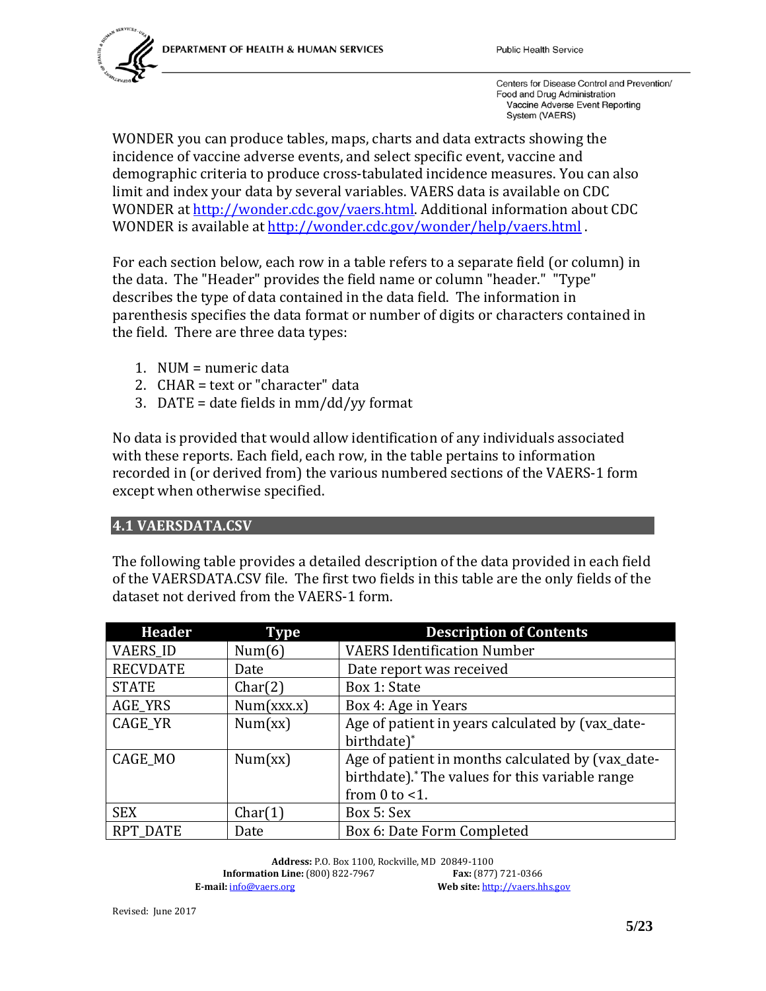

WONDER you can produce tables, maps, charts and data extracts showing the incidence of vaccine adverse events, and select specific event, vaccine and demographic criteria to produce cross-tabulated incidence measures. You can also limit and index your data by several variables. VAERS data is available on CDC WONDER a[t http://wonder.cdc.gov/vaers.html.](http://wonder.cdc.gov/vaers.html) Additional information about CDC WONDER is available at<http://wonder.cdc.gov/wonder/help/vaers.html>.

For each section below, each row in a table refers to a separate field (or column) in the data. The "Header" provides the field name or column "header." "Type" describes the type of data contained in the data field. The information in parenthesis specifies the data format or number of digits or characters contained in the field. There are three data types:

- 1. NUM = numeric data
- 2. CHAR = text or "character" data
- 3. DATE = date fields in  $mm/dd/yy$  format

No data is provided that would allow identification of any individuals associated with these reports. Each field, each row, in the table pertains to information recorded in (or derived from) the various numbered sections of the VAERS-1 form except when otherwise specified.

#### <span id="page-4-0"></span>**4.1 VAERSDATA.CSV**

The following table provides a detailed description of the data provided in each field of the VAERSDATA.CSV file. The first two fields in this table are the only fields of the dataset not derived from the VAERS-1 form.

| <b>Header</b>   | <b>Type</b> | <b>Description of Contents</b>                    |
|-----------------|-------------|---------------------------------------------------|
| <b>VAERS_ID</b> | Num(6)      | <b>VAERS Identification Number</b>                |
| <b>RECVDATE</b> | Date        | Date report was received                          |
| <b>STATE</b>    | Char(2)     | Box 1: State                                      |
| AGE_YRS         | Num(xxx.x)  | Box 4: Age in Years                               |
| CAGE_YR         | Num(xx)     | Age of patient in years calculated by (vax_date-  |
|                 |             | birthdate)*                                       |
| CAGE MO         | Num(xx)     | Age of patient in months calculated by (vax_date- |
|                 |             | birthdate).* The values for this variable range   |
|                 |             | from $0$ to $<$ 1.                                |
| <b>SEX</b>      | Char(1)     | Box 5: Sex                                        |
| <b>RPT_DATE</b> | Date        | Box 6: Date Form Completed                        |

**Address:** P.O. Box 1100, Rockville, MD 20849-1100 **Information Line:** (800) 822-7967<br>**E-mail:**  $\frac{\text{info@vaers.org}}{\text{़$ Web site: [http://vaers.hhs.gov](http://vaers.hhs.gov/)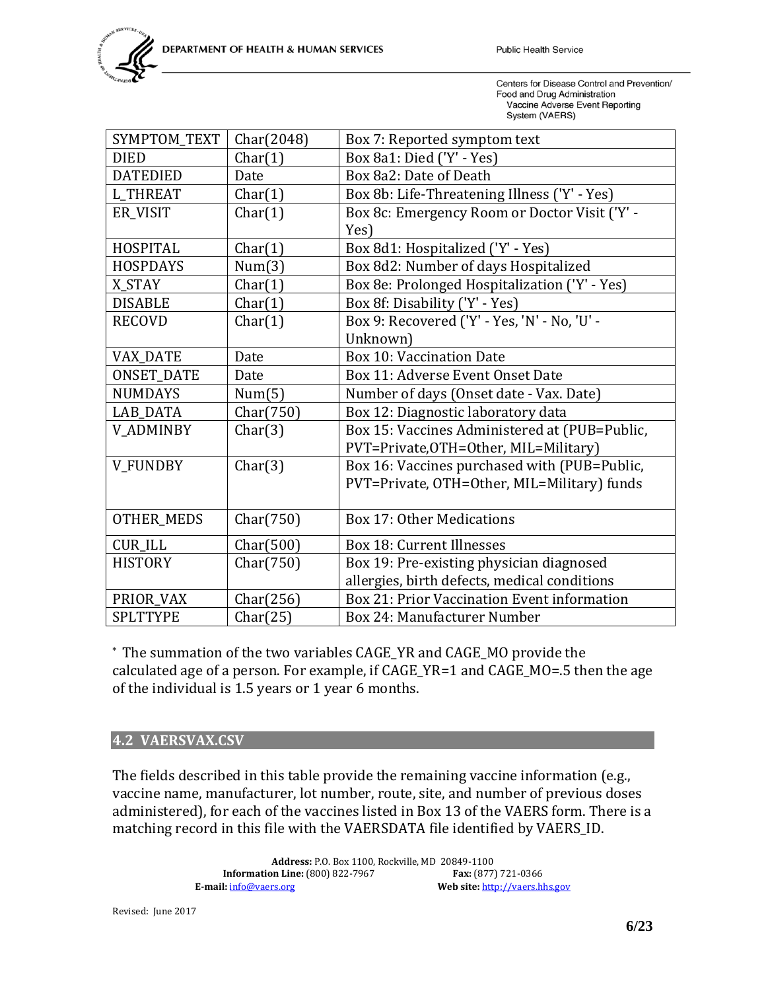

| SYMPTOM_TEXT      | Char(2048) | Box 7: Reported symptom text                  |
|-------------------|------------|-----------------------------------------------|
| <b>DIED</b>       | Char(1)    | Box 8a1: Died ('Y' - Yes)                     |
| <b>DATEDIED</b>   | Date       | Box 8a2: Date of Death                        |
| <b>L THREAT</b>   | Char(1)    | Box 8b: Life-Threatening Illness ('Y' - Yes)  |
| ER_VISIT          | Char(1)    | Box 8c: Emergency Room or Doctor Visit ('Y' - |
|                   |            | Yes)                                          |
| <b>HOSPITAL</b>   | Char(1)    | Box 8d1: Hospitalized ('Y' - Yes)             |
| <b>HOSPDAYS</b>   | Num(3)     | Box 8d2: Number of days Hospitalized          |
| X STAY            | Char(1)    | Box 8e: Prolonged Hospitalization ('Y' - Yes) |
| <b>DISABLE</b>    | Char(1)    | Box 8f: Disability ('Y' - Yes)                |
| <b>RECOVD</b>     | Char(1)    | Box 9: Recovered ('Y' - Yes, 'N' - No, 'U' -  |
|                   |            | Unknown)                                      |
| <b>VAX DATE</b>   | Date       | <b>Box 10: Vaccination Date</b>               |
| <b>ONSET_DATE</b> | Date       | Box 11: Adverse Event Onset Date              |
| <b>NUMDAYS</b>    | Num(5)     | Number of days (Onset date - Vax. Date)       |
| LAB_DATA          | Char(750)  | Box 12: Diagnostic laboratory data            |
| <b>V_ADMINBY</b>  | Char(3)    | Box 15: Vaccines Administered at (PUB=Public, |
|                   |            | PVT=Private, OTH=Other, MIL=Military)         |
| V_FUNDBY          | Char(3)    | Box 16: Vaccines purchased with (PUB=Public,  |
|                   |            | PVT=Private, OTH=Other, MIL=Military) funds   |
|                   |            |                                               |
| <b>OTHER_MEDS</b> | Char(750)  | <b>Box 17: Other Medications</b>              |
| <b>CUR_ILL</b>    | Char(500)  | Box 18: Current Illnesses                     |
| <b>HISTORY</b>    | Char(750)  | Box 19: Pre-existing physician diagnosed      |
|                   |            | allergies, birth defects, medical conditions  |
| PRIOR_VAX         | Char(256)  | Box 21: Prior Vaccination Event information   |
| <b>SPLTTYPE</b>   | Char(25)   | Box 24: Manufacturer Number                   |

\* The summation of the two variables CAGE\_YR and CAGE\_MO provide the calculated age of a person. For example, if CAGE\_YR=1 and CAGE\_MO=.5 then the age of the individual is 1.5 years or 1 year 6 months.

#### <span id="page-5-0"></span>**4.2 VAERSVAX.CSV**

The fields described in this table provide the remaining vaccine information (e.g., vaccine name, manufacturer, lot number, route, site, and number of previous doses administered), for each of the vaccines listed in Box 13 of the VAERS form. There is a matching record in this file with the VAERSDATA file identified by VAERS\_ID.

> **Address:** P.O. Box 1100, Rockville, MD 20849-1100 **Information Line:** (800) 822-7967<br>**E-mail:** <u>info@vaers.org</u> Web site: [http://vaers.hhs.gov](http://vaers.hhs.gov/)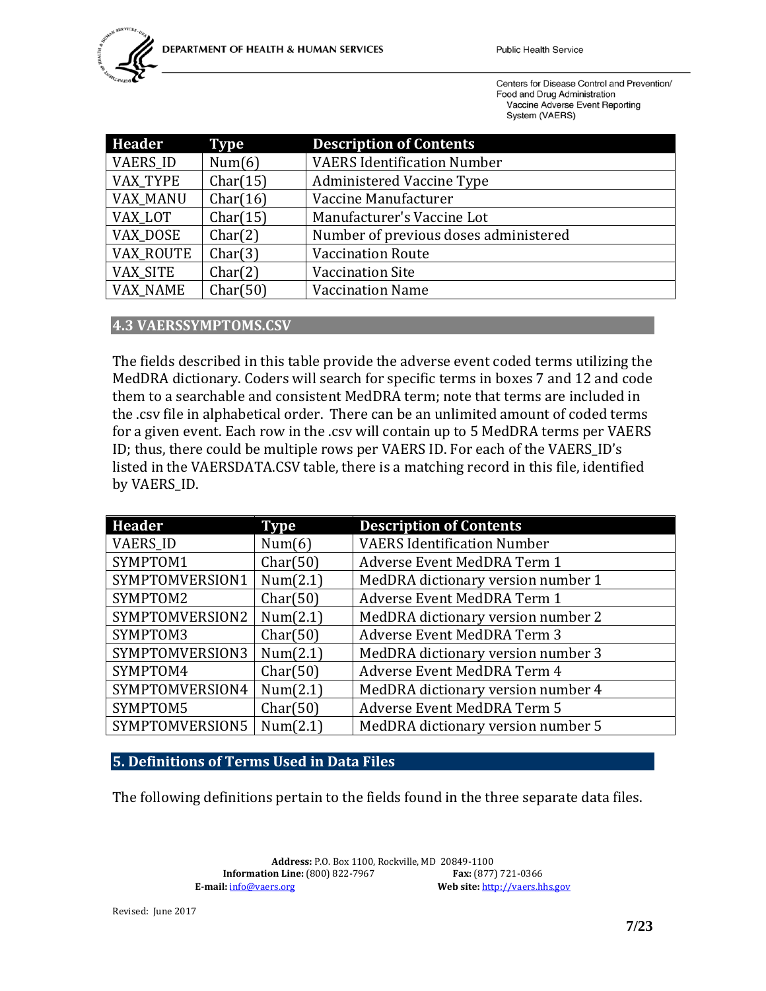| <b>Header</b>    | <b>Type</b> | <b>Description of Contents</b>        |
|------------------|-------------|---------------------------------------|
| <b>VAERS ID</b>  | Num(6)      | <b>VAERS Identification Number</b>    |
| <b>VAX TYPE</b>  | Char(15)    | <b>Administered Vaccine Type</b>      |
| <b>VAX MANU</b>  | Char(16)    | Vaccine Manufacturer                  |
| VAX LOT          | Char(15)    | Manufacturer's Vaccine Lot            |
| VAX DOSE         | Char(2)     | Number of previous doses administered |
| <b>VAX ROUTE</b> | Char(3)     | <b>Vaccination Route</b>              |
| VAX SITE         | Char(2)     | <b>Vaccination Site</b>               |
| <b>VAX NAME</b>  | Char(50)    | <b>Vaccination Name</b>               |

#### <span id="page-6-0"></span>**4.3 VAERSSYMPTOMS.CSV**

The fields described in this table provide the adverse event coded terms utilizing the MedDRA dictionary. Coders will search for specific terms in boxes 7 and 12 and code them to a searchable and consistent MedDRA term; note that terms are included in the .csv file in alphabetical order. There can be an unlimited amount of coded terms for a given event. Each row in the .csv will contain up to 5 MedDRA terms per VAERS ID; thus, there could be multiple rows per VAERS ID. For each of the VAERS\_ID's listed in the VAERSDATA.CSV table, there is a matching record in this file, identified by VAERS\_ID.

| <b>Header</b>   | <b>Type</b> | <b>Description of Contents</b>     |
|-----------------|-------------|------------------------------------|
| <b>VAERS_ID</b> | Num(6)      | <b>VAERS Identification Number</b> |
| SYMPTOM1        | Char(50)    | Adverse Event MedDRA Term 1        |
| SYMPTOMVERSION1 | Num(2.1)    | MedDRA dictionary version number 1 |
| SYMPTOM2        | Char(50)    | Adverse Event MedDRA Term 1        |
| SYMPTOMVERSION2 | Num(2.1)    | MedDRA dictionary version number 2 |
| SYMPTOM3        | Char(50)    | Adverse Event MedDRA Term 3        |
| SYMPTOMVERSION3 | Num(2.1)    | MedDRA dictionary version number 3 |
| SYMPTOM4        | Char(50)    | Adverse Event MedDRA Term 4        |
| SYMPTOMVERSION4 | Num(2.1)    | MedDRA dictionary version number 4 |
| SYMPTOM5        | Char(50)    | Adverse Event MedDRA Term 5        |
| SYMPTOMVERSION5 | Num(2.1)    | MedDRA dictionary version number 5 |

<span id="page-6-1"></span>**5. Definitions of Terms Used in Data Files**

The following definitions pertain to the fields found in the three separate data files.

**Address:** P.O. Box 1100, Rockville, MD 20849-1100 **Information Line:** (800) 822-7967<br>**E-mail:**  $\frac{info@vaers.org}{}$ Web site: [http://vaers.hhs.gov](http://vaers.hhs.gov/)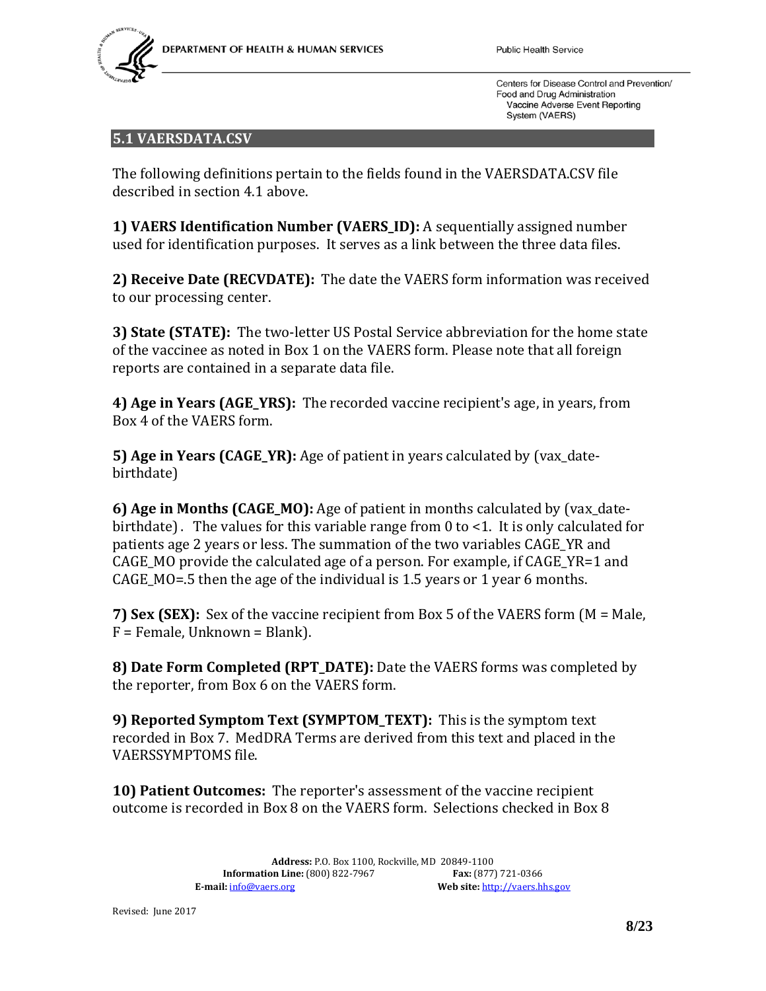

#### <span id="page-7-0"></span>**5.1 VAERSDATA.CSV**

The following definitions pertain to the fields found in the VAERSDATA.CSV file described in section 4.1 above.

**1) VAERS Identification Number (VAERS\_ID):** A sequentially assigned number used for identification purposes. It serves as a link between the three data files.

**2) Receive Date (RECVDATE):** The date the VAERS form information was received to our processing center.

**3) State (STATE):** The two-letter US Postal Service abbreviation for the home state of the vaccinee as noted in Box 1 on the VAERS form. Please note that all foreign reports are contained in a separate data file.

**4) Age in Years (AGE\_YRS):** The recorded vaccine recipient's age, in years, from Box 4 of the VAERS form.

**5) Age in Years (CAGE\_YR):** Age of patient in years calculated by (vax\_datebirthdate)

**6) Age in Months (CAGE\_MO):** Age of patient in months calculated by (vax\_datebirthdate). The values for this variable range from 0 to <1. It is only calculated for patients age 2 years or less. The summation of the two variables CAGE\_YR and CAGE MO provide the calculated age of a person. For example, if CAGE  $YR=1$  and CAGE\_MO=.5 then the age of the individual is 1.5 years or 1 year 6 months.

**7) Sex (SEX):** Sex of the vaccine recipient from Box 5 of the VAERS form (M = Male, F = Female, Unknown = Blank).

**8) Date Form Completed (RPT\_DATE):** Date the VAERS forms was completed by the reporter, from Box 6 on the VAERS form.

**9) Reported Symptom Text (SYMPTOM\_TEXT):** This is the symptom text recorded in Box 7. MedDRA Terms are derived from this text and placed in the VAERSSYMPTOMS file.

**10) Patient Outcomes:** The reporter's assessment of the vaccine recipient outcome is recorded in Box 8 on the VAERS form. Selections checked in Box 8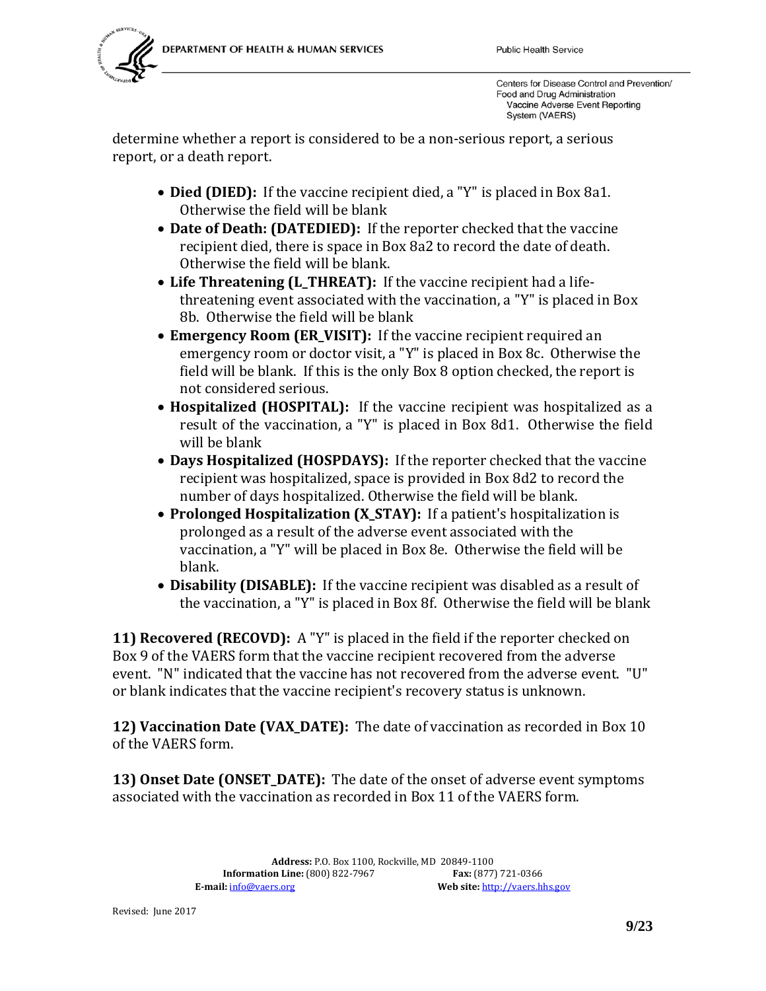

determine whether a report is considered to be a non-serious report, a serious report, or a death report.

- **Died (DIED):** If the vaccine recipient died, a "Y" is placed in Box 8a1. Otherwise the field will be blank
- **Date of Death: (DATEDIED):** If the reporter checked that the vaccine recipient died, there is space in Box 8a2 to record the date of death. Otherwise the field will be blank.
- **Life Threatening (L\_THREAT):** If the vaccine recipient had a lifethreatening event associated with the vaccination, a "Y" is placed in Box 8b. Otherwise the field will be blank
- **Emergency Room (ER\_VISIT):** If the vaccine recipient required an emergency room or doctor visit, a "Y" is placed in Box 8c. Otherwise the field will be blank. If this is the only Box 8 option checked, the report is not considered serious.
- **Hospitalized (HOSPITAL):** If the vaccine recipient was hospitalized as a result of the vaccination, a "Y" is placed in Box 8d1. Otherwise the field will be blank
- **Days Hospitalized (HOSPDAYS):** If the reporter checked that the vaccine recipient was hospitalized, space is provided in Box 8d2 to record the number of days hospitalized. Otherwise the field will be blank.
- **Prolonged Hospitalization (X STAY):** If a patient's hospitalization is prolonged as a result of the adverse event associated with the vaccination, a "Y" will be placed in Box 8e. Otherwise the field will be blank.
- **Disability (DISABLE):** If the vaccine recipient was disabled as a result of the vaccination, a "Y" is placed in Box 8f. Otherwise the field will be blank

**11) Recovered (RECOVD):** A "Y" is placed in the field if the reporter checked on Box 9 of the VAERS form that the vaccine recipient recovered from the adverse event. "N" indicated that the vaccine has not recovered from the adverse event. "U" or blank indicates that the vaccine recipient's recovery status is unknown.

**12) Vaccination Date (VAX DATE):** The date of vaccination as recorded in Box 10 of the VAERS form.

**13) Onset Date (ONSET\_DATE):** The date of the onset of adverse event symptoms associated with the vaccination as recorded in Box 11 of the VAERS form.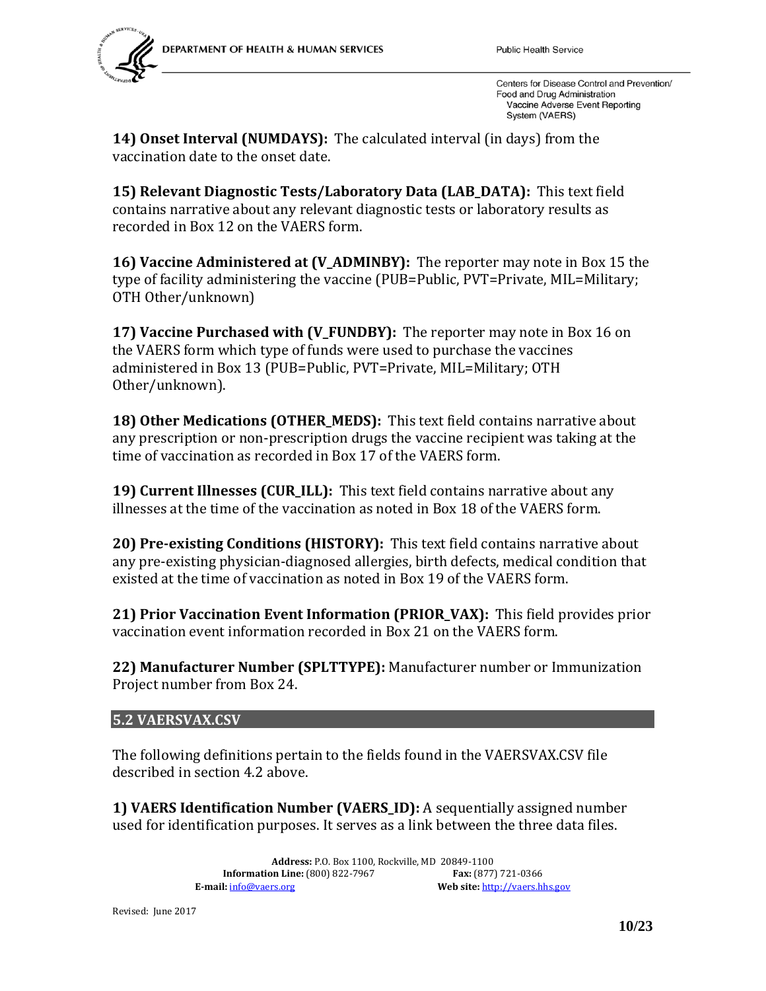

**14) Onset Interval (NUMDAYS):** The calculated interval (in days) from the vaccination date to the onset date.

**15) Relevant Diagnostic Tests/Laboratory Data (LAB\_DATA):** This text field contains narrative about any relevant diagnostic tests or laboratory results as recorded in Box 12 on the VAERS form.

**16) Vaccine Administered at (V\_ADMINBY):** The reporter may note in Box 15 the type of facility administering the vaccine (PUB=Public, PVT=Private, MIL=Military; OTH Other/unknown)

**17) Vaccine Purchased with (V\_FUNDBY):** The reporter may note in Box 16 on the VAERS form which type of funds were used to purchase the vaccines administered in Box 13 (PUB=Public, PVT=Private, MIL=Military; OTH Other/unknown).

**18) Other Medications (OTHER MEDS):** This text field contains narrative about any prescription or non-prescription drugs the vaccine recipient was taking at the time of vaccination as recorded in Box 17 of the VAERS form.

**19) Current Illnesses (CUR\_ILL):** This text field contains narrative about any illnesses at the time of the vaccination as noted in Box 18 of the VAERS form.

**20) Pre-existing Conditions (HISTORY):** This text field contains narrative about any pre-existing physician-diagnosed allergies, birth defects, medical condition that existed at the time of vaccination as noted in Box 19 of the VAERS form.

**21) Prior Vaccination Event Information (PRIOR\_VAX):** This field provides prior vaccination event information recorded in Box 21 on the VAERS form.

**22) Manufacturer Number (SPLTTYPE):** Manufacturer number or Immunization Project number from Box 24.

## <span id="page-9-0"></span>**5.2 VAERSVAX.CSV**

The following definitions pertain to the fields found in the VAERSVAX.CSV file described in section 4.2 above.

**1) VAERS Identification Number (VAERS\_ID):** A sequentially assigned number used for identification purposes. It serves as a link between the three data files.

> **Address:** P.O. Box 1100, Rockville, MD 20849-1100 **Information Line:** (800) 822-7967<br>**E-mail:**  $\frac{\text{info@vaers.org}}{}$ Web site: [http://vaers.hhs.gov](http://vaers.hhs.gov/)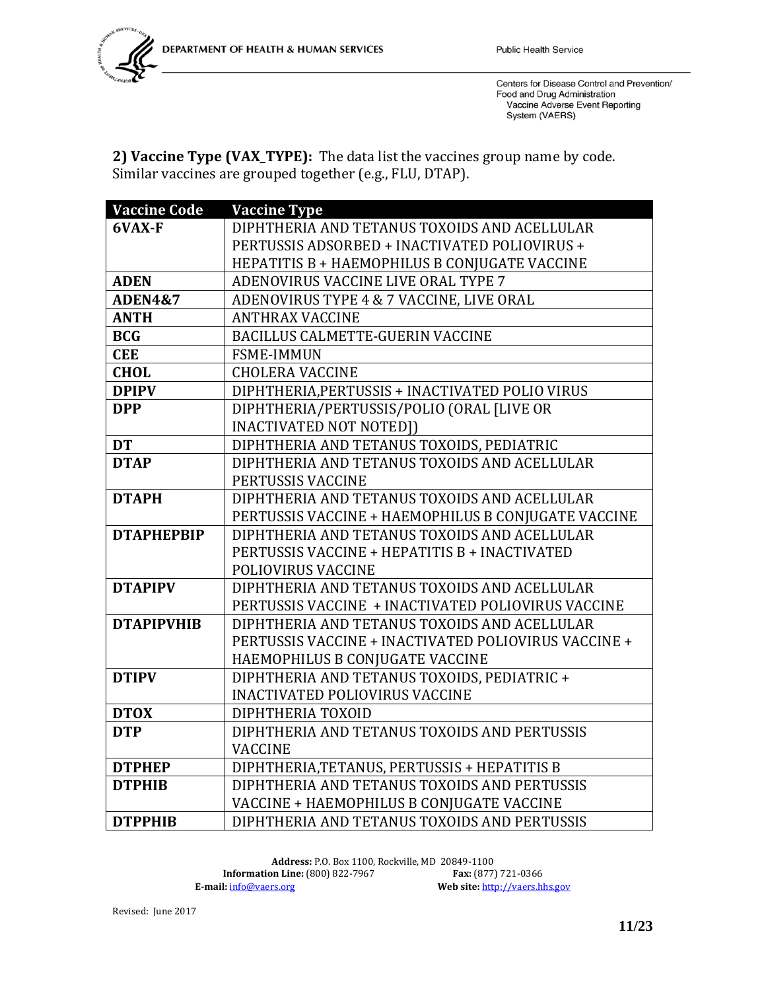

**2) Vaccine Type (VAX\_TYPE):** The data list the vaccines group name by code. Similar vaccines are grouped together (e.g., FLU, DTAP).

| <b>Vaccine Code</b> | <b>Vaccine Type</b>                                  |
|---------------------|------------------------------------------------------|
| 6VAX-F              | DIPHTHERIA AND TETANUS TOXOIDS AND ACELLULAR         |
|                     | PERTUSSIS ADSORBED + INACTIVATED POLIOVIRUS +        |
|                     | HEPATITIS B + HAEMOPHILUS B CONJUGATE VACCINE        |
| <b>ADEN</b>         | ADENOVIRUS VACCINE LIVE ORAL TYPE 7                  |
| <b>ADEN4&amp;7</b>  | ADENOVIRUS TYPE 4 & 7 VACCINE, LIVE ORAL             |
| <b>ANTH</b>         | <b>ANTHRAX VACCINE</b>                               |
| <b>BCG</b>          | <b>BACILLUS CALMETTE-GUERIN VACCINE</b>              |
| <b>CEE</b>          | <b>FSME-IMMUN</b>                                    |
| <b>CHOL</b>         | <b>CHOLERA VACCINE</b>                               |
| <b>DPIPV</b>        | DIPHTHERIA, PERTUSSIS + INACTIVATED POLIO VIRUS      |
| <b>DPP</b>          | DIPHTHERIA/PERTUSSIS/POLIO (ORAL [LIVE OR            |
|                     | <b>INACTIVATED NOT NOTED])</b>                       |
| <b>DT</b>           | DIPHTHERIA AND TETANUS TOXOIDS, PEDIATRIC            |
| <b>DTAP</b>         | DIPHTHERIA AND TETANUS TOXOIDS AND ACELLULAR         |
|                     | PERTUSSIS VACCINE                                    |
| <b>DTAPH</b>        | DIPHTHERIA AND TETANUS TOXOIDS AND ACELLULAR         |
|                     | PERTUSSIS VACCINE + HAEMOPHILUS B CONJUGATE VACCINE  |
| <b>DTAPHEPBIP</b>   | DIPHTHERIA AND TETANUS TOXOIDS AND ACELLULAR         |
|                     | PERTUSSIS VACCINE + HEPATITIS B + INACTIVATED        |
|                     | POLIOVIRUS VACCINE                                   |
| <b>DTAPIPV</b>      | DIPHTHERIA AND TETANUS TOXOIDS AND ACELLULAR         |
|                     | PERTUSSIS VACCINE + INACTIVATED POLIOVIRUS VACCINE   |
| <b>DTAPIPVHIB</b>   | DIPHTHERIA AND TETANUS TOXOIDS AND ACELLULAR         |
|                     | PERTUSSIS VACCINE + INACTIVATED POLIOVIRUS VACCINE + |
|                     | HAEMOPHILUS B CONJUGATE VACCINE                      |
| <b>DTIPV</b>        | DIPHTHERIA AND TETANUS TOXOIDS, PEDIATRIC +          |
|                     | <b>INACTIVATED POLIOVIRUS VACCINE</b>                |
| <b>DTOX</b>         | DIPHTHERIA TOXOID                                    |
| <b>DTP</b>          | DIPHTHERIA AND TETANUS TOXOIDS AND PERTUSSIS         |
|                     | <b>VACCINE</b>                                       |
| <b>DTPHEP</b>       | DIPHTHERIA, TETANUS, PERTUSSIS + HEPATITIS B         |
| <b>DTPHIB</b>       | DIPHTHERIA AND TETANUS TOXOIDS AND PERTUSSIS         |
|                     | VACCINE + HAEMOPHILUS B CONJUGATE VACCINE            |
| <b>DTPPHIB</b>      | DIPHTHERIA AND TETANUS TOXOIDS AND PERTUSSIS         |

Address: P.O. Box 1100, Rockville, MD 20849-1100<br>on Line: (800) 822-7967 **Fax:** (877) 721-0366 **Information Line:** (800) 822-7967<br>**E-mail:**  $\frac{info@vaers.org}{}$ Web site: [http://vaers.hhs.gov](http://vaers.hhs.gov/)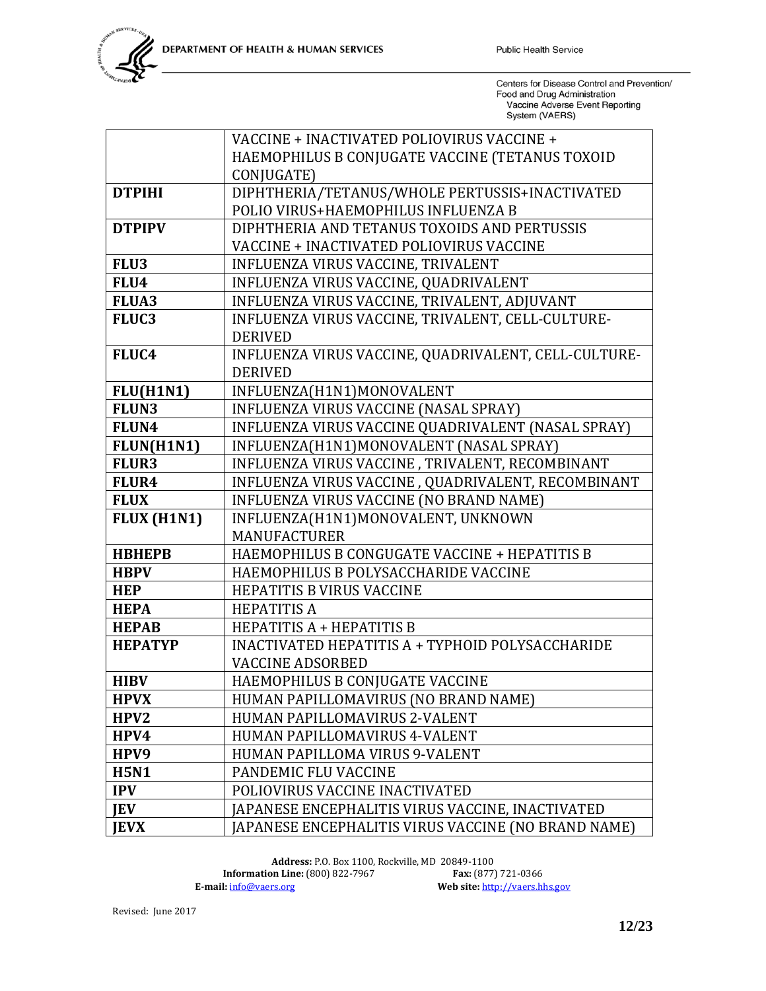|                  | VACCINE + INACTIVATED POLIOVIRUS VACCINE +           |
|------------------|------------------------------------------------------|
|                  | HAEMOPHILUS B CONJUGATE VACCINE (TETANUS TOXOID      |
|                  | CONJUGATE)                                           |
| <b>DTPIHI</b>    | DIPHTHERIA/TETANUS/WHOLE PERTUSSIS+INACTIVATED       |
|                  | POLIO VIRUS+HAEMOPHILUS INFLUENZA B                  |
| <b>DTPIPV</b>    | DIPHTHERIA AND TETANUS TOXOIDS AND PERTUSSIS         |
|                  | VACCINE + INACTIVATED POLIOVIRUS VACCINE             |
| FLU3             | INFLUENZA VIRUS VACCINE, TRIVALENT                   |
| FLU4             | INFLUENZA VIRUS VACCINE, QUADRIVALENT                |
| <b>FLUA3</b>     | INFLUENZA VIRUS VACCINE, TRIVALENT, ADJUVANT         |
| FLUC3            | INFLUENZA VIRUS VACCINE, TRIVALENT, CELL-CULTURE-    |
|                  | <b>DERIVED</b>                                       |
| FLUC4            | INFLUENZA VIRUS VACCINE, QUADRIVALENT, CELL-CULTURE- |
|                  | <b>DERIVED</b>                                       |
| FLU(H1N1)        | INFLUENZA(H1N1)MONOVALENT                            |
| FLUN3            | INFLUENZA VIRUS VACCINE (NASAL SPRAY)                |
| FLUN4            | INFLUENZA VIRUS VACCINE QUADRIVALENT (NASAL SPRAY)   |
| FLUN(H1N1)       | INFLUENZA(H1N1)MONOVALENT (NASAL SPRAY)              |
| <b>FLUR3</b>     | INFLUENZA VIRUS VACCINE, TRIVALENT, RECOMBINANT      |
| FLUR4            | INFLUENZA VIRUS VACCINE, QUADRIVALENT, RECOMBINANT   |
| <b>FLUX</b>      | INFLUENZA VIRUS VACCINE (NO BRAND NAME)              |
| FLUX (H1N1)      | INFLUENZA(H1N1)MONOVALENT, UNKNOWN                   |
|                  | <b>MANUFACTURER</b>                                  |
| <b>HBHEPB</b>    | HAEMOPHILUS B CONGUGATE VACCINE + HEPATITIS B        |
| <b>HBPV</b>      | HAEMOPHILUS B POLYSACCHARIDE VACCINE                 |
| <b>HEP</b>       | HEPATITIS B VIRUS VACCINE                            |
| <b>HEPA</b>      | <b>HEPATITIS A</b>                                   |
| <b>HEPAB</b>     | HEPATITIS A + HEPATITIS B                            |
| <b>HEPATYP</b>   | INACTIVATED HEPATITIS A + TYPHOID POLYSACCHARIDE     |
|                  | <b>VACCINE ADSORBED</b>                              |
| <b>HIBV</b>      | HAEMOPHILUS B CONJUGATE VACCINE                      |
| <b>HPVX</b>      | HUMAN PAPILLOMAVIRUS (NO BRAND NAME)                 |
| HPV <sub>2</sub> | HUMAN PAPILLOMAVIRUS 2-VALENT                        |
| HPV4             | HUMAN PAPILLOMAVIRUS 4-VALENT                        |
| HPV9             | HUMAN PAPILLOMA VIRUS 9-VALENT                       |
| <b>H5N1</b>      | PANDEMIC FLU VACCINE                                 |
| <b>IPV</b>       | POLIOVIRUS VACCINE INACTIVATED                       |
| <b>IEV</b>       | JAPANESE ENCEPHALITIS VIRUS VACCINE, INACTIVATED     |
| <b>JEVX</b>      | JAPANESE ENCEPHALITIS VIRUS VACCINE (NO BRAND NAME)  |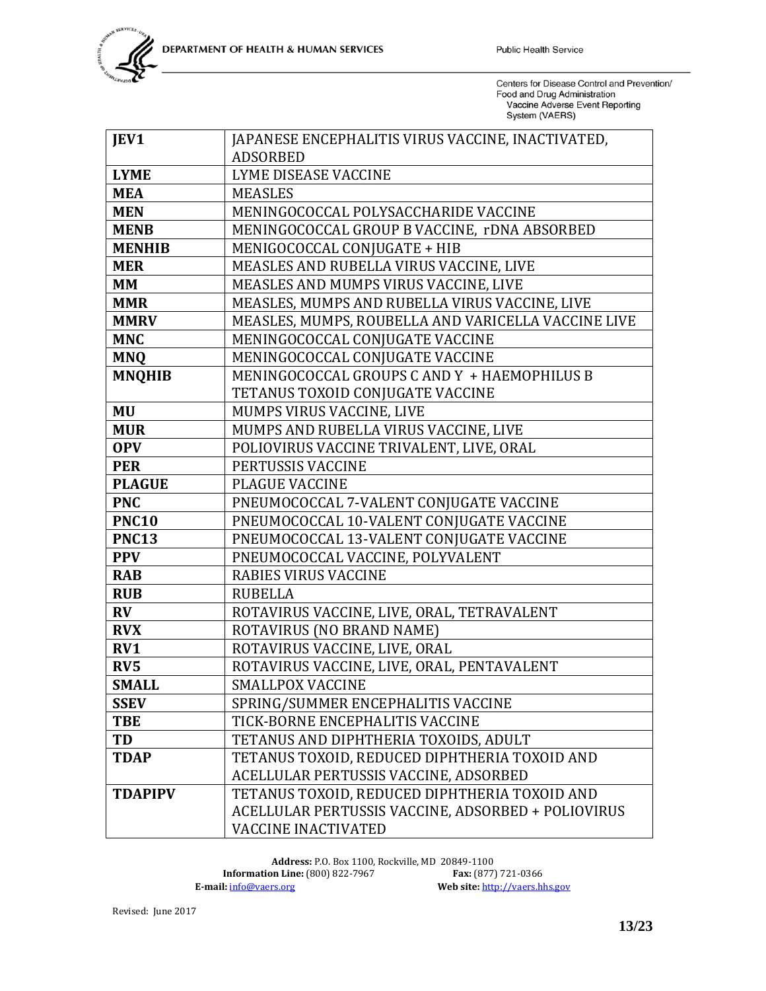| JEV1           | JAPANESE ENCEPHALITIS VIRUS VACCINE, INACTIVATED,   |
|----------------|-----------------------------------------------------|
|                | <b>ADSORBED</b>                                     |
| <b>LYME</b>    | LYME DISEASE VACCINE                                |
| <b>MEA</b>     | <b>MEASLES</b>                                      |
| <b>MEN</b>     | MENINGOCOCCAL POLYSACCHARIDE VACCINE                |
| <b>MENB</b>    | MENINGOCOCCAL GROUP B VACCINE, rDNA ABSORBED        |
| <b>MENHIB</b>  | MENIGOCOCCAL CONJUGATE + HIB                        |
| <b>MER</b>     | MEASLES AND RUBELLA VIRUS VACCINE, LIVE             |
| <b>MM</b>      | MEASLES AND MUMPS VIRUS VACCINE, LIVE               |
| <b>MMR</b>     | MEASLES, MUMPS AND RUBELLA VIRUS VACCINE, LIVE      |
| <b>MMRV</b>    | MEASLES, MUMPS, ROUBELLA AND VARICELLA VACCINE LIVE |
| <b>MNC</b>     | MENINGOCOCCAL CONJUGATE VACCINE                     |
| <b>MNQ</b>     | MENINGOCOCCAL CONJUGATE VACCINE                     |
| <b>MNQHIB</b>  | MENINGOCOCCAL GROUPS C AND Y + HAEMOPHILUS B        |
|                | TETANUS TOXOID CONJUGATE VACCINE                    |
| <b>MU</b>      | MUMPS VIRUS VACCINE, LIVE                           |
| <b>MUR</b>     | MUMPS AND RUBELLA VIRUS VACCINE, LIVE               |
| <b>OPV</b>     | POLIOVIRUS VACCINE TRIVALENT, LIVE, ORAL            |
| <b>PER</b>     | PERTUSSIS VACCINE                                   |
| <b>PLAGUE</b>  | <b>PLAGUE VACCINE</b>                               |
| <b>PNC</b>     | PNEUMOCOCCAL 7-VALENT CONJUGATE VACCINE             |
| <b>PNC10</b>   | PNEUMOCOCCAL 10-VALENT CONJUGATE VACCINE            |
| <b>PNC13</b>   | PNEUMOCOCCAL 13-VALENT CONJUGATE VACCINE            |
| <b>PPV</b>     | PNEUMOCOCCAL VACCINE, POLYVALENT                    |
| <b>RAB</b>     | <b>RABIES VIRUS VACCINE</b>                         |
| <b>RUB</b>     | <b>RUBELLA</b>                                      |
| $\bf{RV}$      | ROTAVIRUS VACCINE, LIVE, ORAL, TETRAVALENT          |
| <b>RVX</b>     | ROTAVIRUS (NO BRAND NAME)                           |
| RV1            | ROTAVIRUS VACCINE, LIVE, ORAL                       |
| RV5            | ROTAVIRUS VACCINE, LIVE, ORAL, PENTAVALENT          |
| <b>SMALL</b>   | <b>SMALLPOX VACCINE</b>                             |
| <b>SSEV</b>    | SPRING/SUMMER ENCEPHALITIS VACCINE                  |
| <b>TBE</b>     | TICK-BORNE ENCEPHALITIS VACCINE                     |
| TD             | TETANUS AND DIPHTHERIA TOXOIDS, ADULT               |
| <b>TDAP</b>    | TETANUS TOXOID, REDUCED DIPHTHERIA TOXOID AND       |
|                | ACELLULAR PERTUSSIS VACCINE, ADSORBED               |
| <b>TDAPIPV</b> | TETANUS TOXOID, REDUCED DIPHTHERIA TOXOID AND       |
|                | ACELLULAR PERTUSSIS VACCINE, ADSORBED + POLIOVIRUS  |
|                | <b>VACCINE INACTIVATED</b>                          |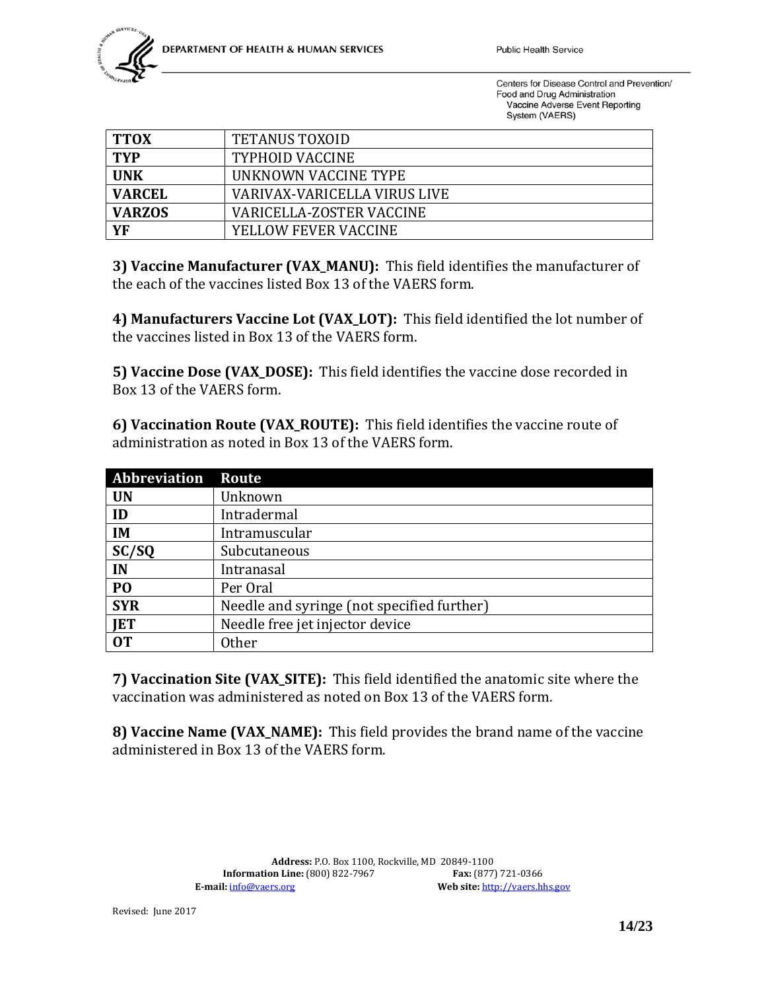

| <b>TTOX</b>   | <b>TETANUS TOXOID</b>        |
|---------------|------------------------------|
| <b>TYP</b>    | <b>TYPHOID VACCINE</b>       |
| <b>UNK</b>    | UNKNOWN VACCINE TYPE         |
| <b>VARCEL</b> | VARIVAX-VARICELLA VIRUS LIVE |
| <b>VARZOS</b> | VARICELLA-ZOSTER VACCINE     |
| YF            | YELLOW FEVER VACCINE         |

**3) Vaccine Manufacturer (VAX\_MANU):** This field identifies the manufacturer of the each of the vaccines listed Box 13 of the VAERS form.

**4) Manufacturers Vaccine Lot (VAX\_LOT):** This field identified the lot number of the vaccines listed in Box 13 of the VAERS form.

**5) Vaccine Dose (VAX\_DOSE):** This field identifies the vaccine dose recorded in Box 13 of the VAERS form.

**6) Vaccination Route (VAX\_ROUTE):** This field identifies the vaccine route of administration as noted in Box 13 of the VAERS form.

| Abbreviation   | Route                                      |
|----------------|--------------------------------------------|
| <b>UN</b>      | Unknown                                    |
| ID             | Intradermal                                |
| IM             | Intramuscular                              |
| SC/SQ          | Subcutaneous                               |
| IN             | Intranasal                                 |
| P <sub>O</sub> | Per Oral                                   |
| <b>SYR</b>     | Needle and syringe (not specified further) |
| <b>JET</b>     | Needle free jet injector device            |
| 0T             | <b>Other</b>                               |

**7) Vaccination Site (VAX\_SITE):** This field identified the anatomic site where the vaccination was administered as noted on Box 13 of the VAERS form.

**8) Vaccine Name (VAX\_NAME):** This field provides the brand name of the vaccine administered in Box 13 of the VAERS form.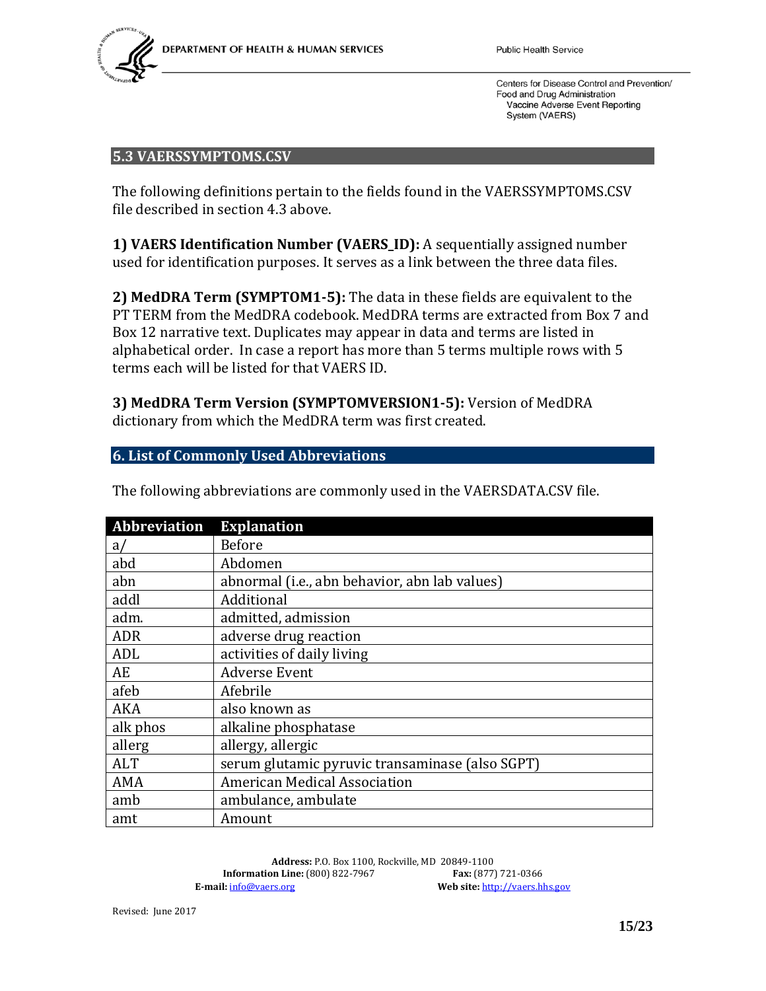

#### <span id="page-14-0"></span>**5.3 VAERSSYMPTOMS.CSV**

The following definitions pertain to the fields found in the VAERSSYMPTOMS.CSV file described in section 4.3 above.

**1) VAERS Identification Number (VAERS\_ID):** A sequentially assigned number used for identification purposes. It serves as a link between the three data files.

**2) MedDRA Term (SYMPTOM1-5):** The data in these fields are equivalent to the PT TERM from the MedDRA codebook. MedDRA terms are extracted from Box 7 and Box 12 narrative text. Duplicates may appear in data and terms are listed in alphabetical order. In case a report has more than 5 terms multiple rows with 5 terms each will be listed for that VAERS ID.

**3) MedDRA Term Version (SYMPTOMVERSION1-5):** Version of MedDRA dictionary from which the MedDRA term was first created.

#### <span id="page-14-1"></span>**6. List of Commonly Used Abbreviations**

| <b>Abbreviation</b> | <b>Explanation</b>                              |
|---------------------|-------------------------------------------------|
| a/                  | <b>Before</b>                                   |
| abd                 | Abdomen                                         |
| abn                 | abnormal (i.e., abn behavior, abn lab values)   |
| addl                | Additional                                      |
| adm.                | admitted, admission                             |
| <b>ADR</b>          | adverse drug reaction                           |
| ADL                 | activities of daily living                      |
| AE                  | <b>Adverse Event</b>                            |
| afeb                | Afebrile                                        |
| AKA                 | also known as                                   |
| alk phos            | alkaline phosphatase                            |
| allerg              | allergy, allergic                               |
| <b>ALT</b>          | serum glutamic pyruvic transaminase (also SGPT) |
| AMA                 | <b>American Medical Association</b>             |
| amb                 | ambulance, ambulate                             |
| amt                 | Amount                                          |

The following abbreviations are commonly used in the VAERSDATA.CSV file.

**Address:** P.O. Box 1100, Rockville, MD 20849-1100 **Information Line:** (800) 822-7967<br>**E-mail:**  $\frac{info@vaers.org}{}$ Web site: [http://vaers.hhs.gov](http://vaers.hhs.gov/)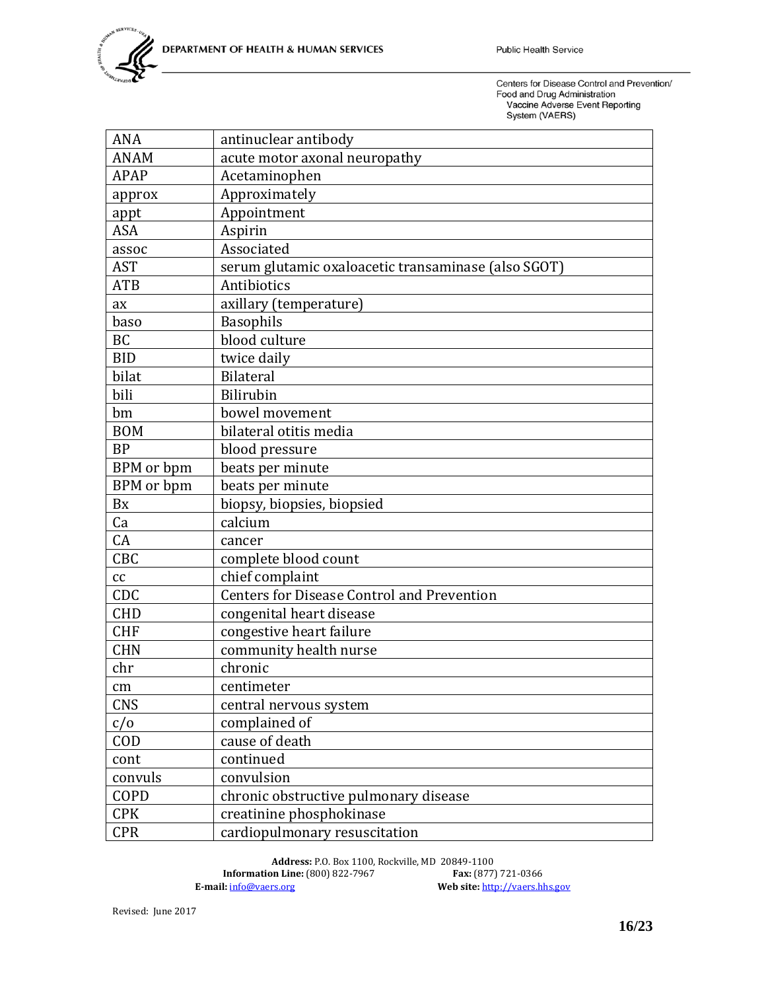| <b>ANA</b>        | antinuclear antibody                                |
|-------------------|-----------------------------------------------------|
| <b>ANAM</b>       | acute motor axonal neuropathy                       |
| APAP              | Acetaminophen                                       |
| approx            | Approximately                                       |
| appt              | Appointment                                         |
| <b>ASA</b>        | Aspirin                                             |
| assoc             | Associated                                          |
| <b>AST</b>        | serum glutamic oxaloacetic transaminase (also SGOT) |
| <b>ATB</b>        | Antibiotics                                         |
| ax                | axillary (temperature)                              |
| baso              | <b>Basophils</b>                                    |
| <b>BC</b>         | blood culture                                       |
| <b>BID</b>        | twice daily                                         |
| bilat             | <b>Bilateral</b>                                    |
| bili              | Bilirubin                                           |
| bm                | bowel movement                                      |
| <b>BOM</b>        | bilateral otitis media                              |
| <b>BP</b>         | blood pressure                                      |
| <b>BPM</b> or bpm | beats per minute                                    |
| BPM or bpm        | beats per minute                                    |
| <b>Bx</b>         | biopsy, biopsies, biopsied                          |
| Ca                | calcium                                             |
| CA                | cancer                                              |
| CBC               | complete blood count                                |
| cc                | chief complaint                                     |
| CDC               | <b>Centers for Disease Control and Prevention</b>   |
| <b>CHD</b>        | congenital heart disease                            |
| <b>CHF</b>        | congestive heart failure                            |
| <b>CHN</b>        | community health nurse                              |
| chr               | chronic                                             |
| $\rm cm$          | centimeter                                          |
| <b>CNS</b>        | central nervous system                              |
| c/o               | complained of                                       |
| <b>COD</b>        | cause of death                                      |
| cont              | continued                                           |
| convuls           | convulsion                                          |
| COPD              | chronic obstructive pulmonary disease               |
| <b>CPK</b>        | creatinine phosphokinase                            |
| <b>CPR</b>        | cardiopulmonary resuscitation                       |

Address: P.O. Box 1100, Rockville, MD 20849-1100<br>on Line: (800) 822-7967<br>**Fax:** (877) 721-0366 **Information Line:** (800) 822-7967<br>**E-mail:**  $\frac{\text{info@vaers.org}}{}$ Web site: [http://vaers.hhs.gov](http://vaers.hhs.gov/)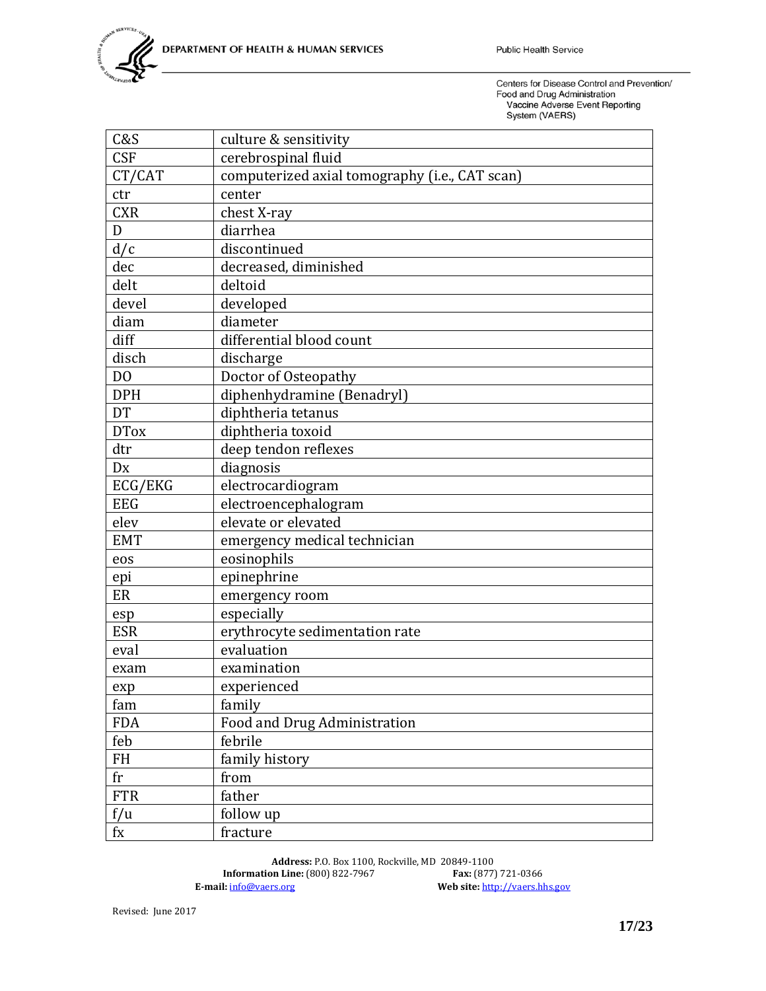| C&S            | culture & sensitivity                          |
|----------------|------------------------------------------------|
| <b>CSF</b>     | cerebrospinal fluid                            |
| CT/CAT         | computerized axial tomography (i.e., CAT scan) |
| ctr            | center                                         |
| <b>CXR</b>     | chest X-ray                                    |
| D              | diarrhea                                       |
| d/c            | discontinued                                   |
| dec            | decreased, diminished                          |
| delt           | deltoid                                        |
| devel          | developed                                      |
| diam           | diameter                                       |
| diff           | differential blood count                       |
| disch          | discharge                                      |
| D <sub>0</sub> | Doctor of Osteopathy                           |
| <b>DPH</b>     | diphenhydramine (Benadryl)                     |
| <b>DT</b>      | diphtheria tetanus                             |
| <b>DTox</b>    | diphtheria toxoid                              |
| dtr            | deep tendon reflexes                           |
| Dx             | diagnosis                                      |
| ECG/EKG        | electrocardiogram                              |
| <b>EEG</b>     | electroencephalogram                           |
| elev           | elevate or elevated                            |
| <b>EMT</b>     | emergency medical technician                   |
| eos            | eosinophils                                    |
| epi            | epinephrine                                    |
| ER             | emergency room                                 |
| esp            | especially                                     |
| <b>ESR</b>     | erythrocyte sedimentation rate                 |
| eval           | evaluation                                     |
| exam           | examination                                    |
| exp            | experienced                                    |
| fam            | family                                         |
| <b>FDA</b>     | Food and Drug Administration                   |
| feb            | febrile                                        |
| <b>FH</b>      | family history                                 |
| fr             | from                                           |
| <b>FTR</b>     | father                                         |
| f/u            | follow up                                      |
| $f_{\rm X}$    | fracture                                       |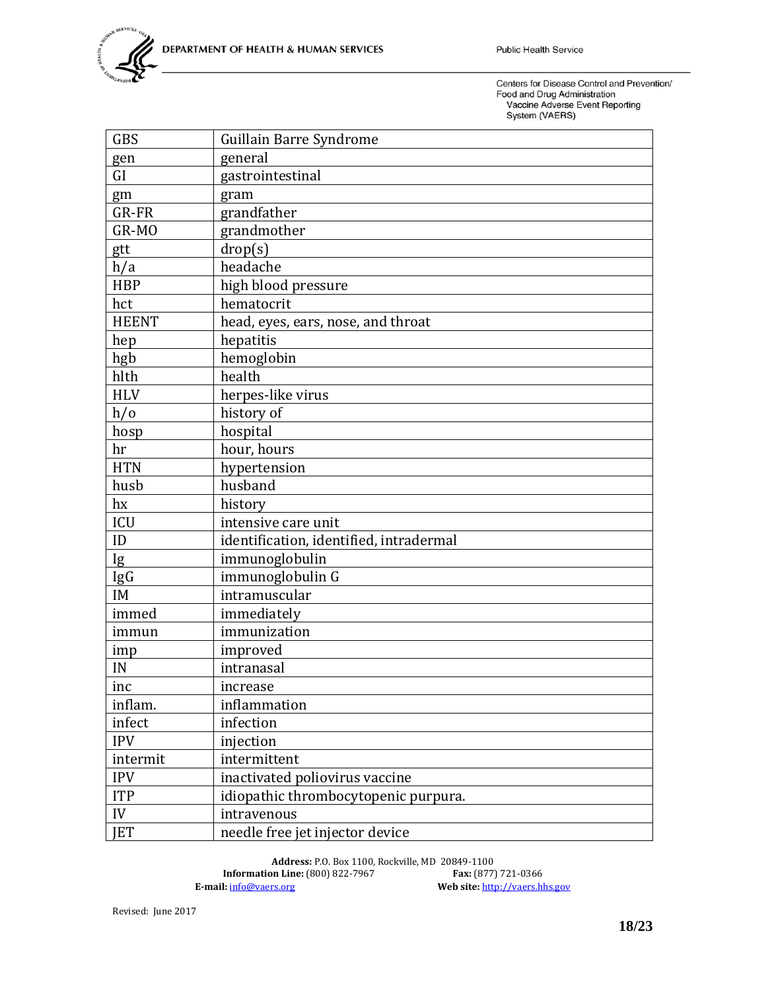| <b>GBS</b>   | Guillain Barre Syndrome                 |
|--------------|-----------------------------------------|
| gen          | general                                 |
| GI           | gastrointestinal                        |
| gm           | gram                                    |
| GR-FR        | grandfather                             |
| GR-MO        | grandmother                             |
| gtt          | drop(s)                                 |
| h/a          | headache                                |
| <b>HBP</b>   | high blood pressure                     |
| hct          | hematocrit                              |
| <b>HEENT</b> | head, eyes, ears, nose, and throat      |
| hep          | hepatitis                               |
| hgb          | hemoglobin                              |
| hlth         | health                                  |
| <b>HLV</b>   | herpes-like virus                       |
| h/o          | history of                              |
| hosp         | hospital                                |
| hr           | hour, hours                             |
| <b>HTN</b>   | hypertension                            |
| husb         | husband                                 |
| hx           | history                                 |
| ICU          | intensive care unit                     |
| ID           | identification, identified, intradermal |
| Ig           | immunoglobulin                          |
| IgG          | immunoglobulin G                        |
| IM           | intramuscular                           |
| immed        | immediately                             |
| immun        | immunization                            |
| imp          | improved                                |
| IN           | intranasal                              |
| inc          | increase                                |
| inflam.      | inflammation                            |
| infect       | infection                               |
| <b>IPV</b>   | injection                               |
| intermit     | intermittent                            |
| <b>IPV</b>   | inactivated poliovirus vaccine          |
| <b>ITP</b>   | idiopathic thrombocytopenic purpura.    |
| IV           | intravenous                             |
| <b>IET</b>   | needle free jet injector device         |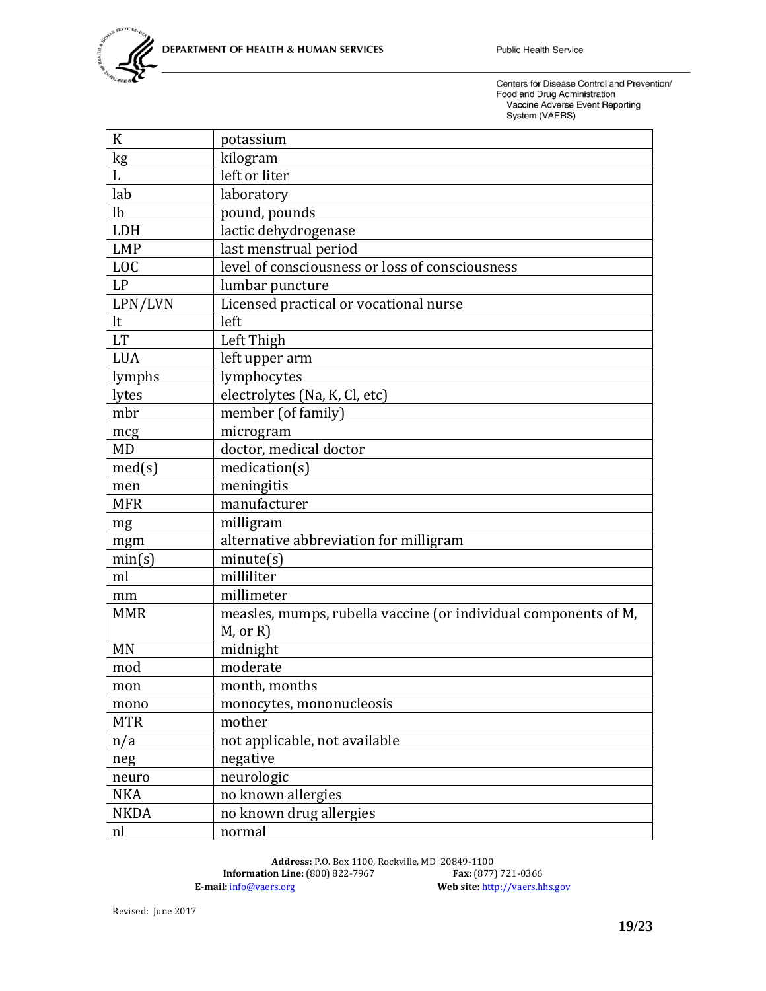| K              | potassium                                                       |
|----------------|-----------------------------------------------------------------|
| kg             | kilogram                                                        |
|                | left or liter                                                   |
| lab            | laboratory                                                      |
| l <sub>b</sub> | pound, pounds                                                   |
| LDH            | lactic dehydrogenase                                            |
| <b>LMP</b>     | last menstrual period                                           |
| <b>LOC</b>     | level of consciousness or loss of consciousness                 |
| LP             | lumbar puncture                                                 |
| LPN/LVN        | Licensed practical or vocational nurse                          |
| lt             | left                                                            |
| <b>LT</b>      | Left Thigh                                                      |
| <b>LUA</b>     | left upper arm                                                  |
| lymphs         | lymphocytes                                                     |
| lytes          | electrolytes (Na, K, Cl, etc)                                   |
| mbr            | member (of family)                                              |
| mcg            | microgram                                                       |
| <b>MD</b>      | doctor, medical doctor                                          |
| med(s)         | medication(s)                                                   |
| men            | meningitis                                                      |
| <b>MFR</b>     | manufacturer                                                    |
| mg             | milligram                                                       |
| mgm            | alternative abbreviation for milligram                          |
| min(s)         | minute(s)                                                       |
| ml             | milliliter                                                      |
| mm             | millimeter                                                      |
| <b>MMR</b>     | measles, mumps, rubella vaccine (or individual components of M, |
|                | $M$ , or $R$ )                                                  |
| <b>MN</b>      | midnight                                                        |
| mod            | moderate                                                        |
| mon            | month, months                                                   |
| mono           | monocytes, mononucleosis                                        |
| <b>MTR</b>     | mother                                                          |
| n/a            | not applicable, not available                                   |
| neg            | negative                                                        |
| neuro          | neurologic                                                      |
| <b>NKA</b>     | no known allergies                                              |
| <b>NKDA</b>    | no known drug allergies                                         |
| nl             | normal                                                          |

**Address:** P.O. Box 1100, Rockville, MD 20849-1100 **Information Line:** (800) 822-7967<br>**E-mail:**  $\frac{\text{info@vaers.org}}{}$ **Example 18**<br>**Example 31**<br>**Example 31**<br>**Example 31**<br>**Example 31**<br>**Example 32**<br>**Example 32**<br>**Example 32**<br>**Example 32**<br>**Example 32**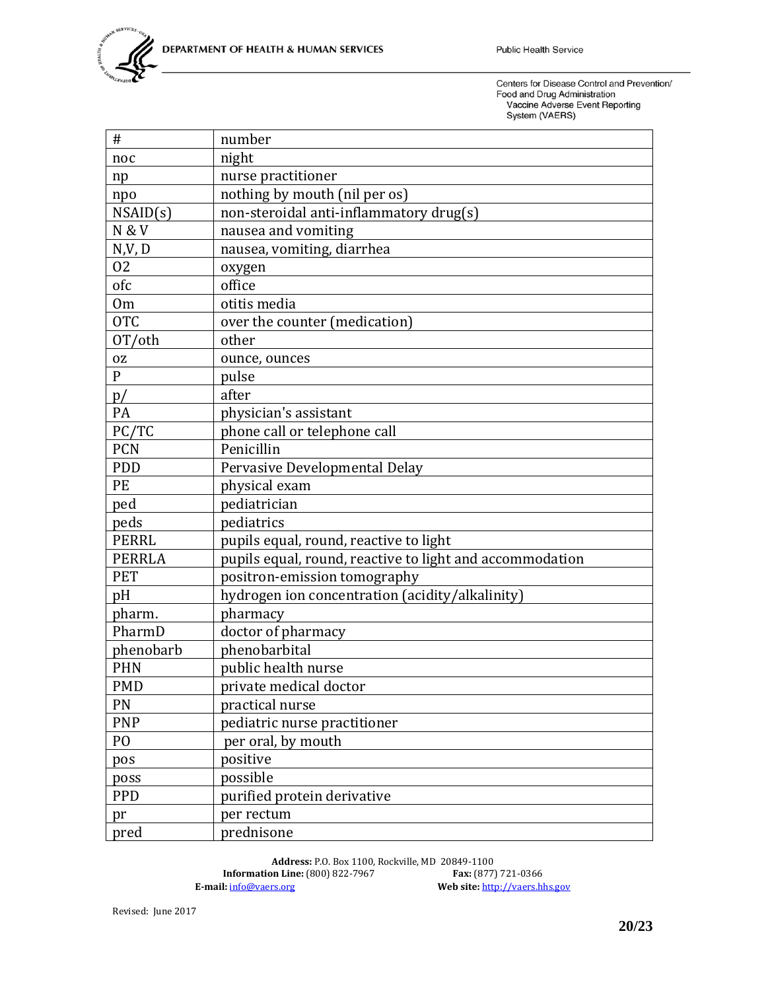| #                | number                                                   |
|------------------|----------------------------------------------------------|
| noc              | night                                                    |
| np               | nurse practitioner                                       |
| npo              | nothing by mouth (nil per os)                            |
| NSAID(s)         | non-steroidal anti-inflammatory drug(s)                  |
| <b>N &amp; V</b> | nausea and vomiting                                      |
| N, V, D          | nausea, vomiting, diarrhea                               |
| 02               | oxygen                                                   |
| ofc              | office                                                   |
| 0 <sub>m</sub>   | otitis media                                             |
| <b>OTC</b>       | over the counter (medication)                            |
| OT/oth           | other                                                    |
| 0Z               | ounce, ounces                                            |
| ${\bf P}$        | pulse                                                    |
| p/               | after                                                    |
| PA               | physician's assistant                                    |
| PC/TC            | phone call or telephone call                             |
| <b>PCN</b>       | Penicillin                                               |
| <b>PDD</b>       | Pervasive Developmental Delay                            |
| PE               | physical exam                                            |
| ped              | pediatrician                                             |
| peds             | pediatrics                                               |
| <b>PERRL</b>     | pupils equal, round, reactive to light                   |
| <b>PERRLA</b>    | pupils equal, round, reactive to light and accommodation |
| <b>PET</b>       | positron-emission tomography                             |
| pH               | hydrogen ion concentration (acidity/alkalinity)          |
| pharm.           | pharmacy                                                 |
| PharmD           | doctor of pharmacy                                       |
| phenobarb        | phenobarbital                                            |
| <b>PHN</b>       | public health nurse                                      |
| <b>PMD</b>       | private medical doctor                                   |
| PN               | practical nurse                                          |
| <b>PNP</b>       | pediatric nurse practitioner                             |
| P <sub>O</sub>   | per oral, by mouth                                       |
| pos              | positive                                                 |
| poss             | possible                                                 |
| <b>PPD</b>       | purified protein derivative                              |
| pr               | per rectum                                               |
| pred             | prednisone                                               |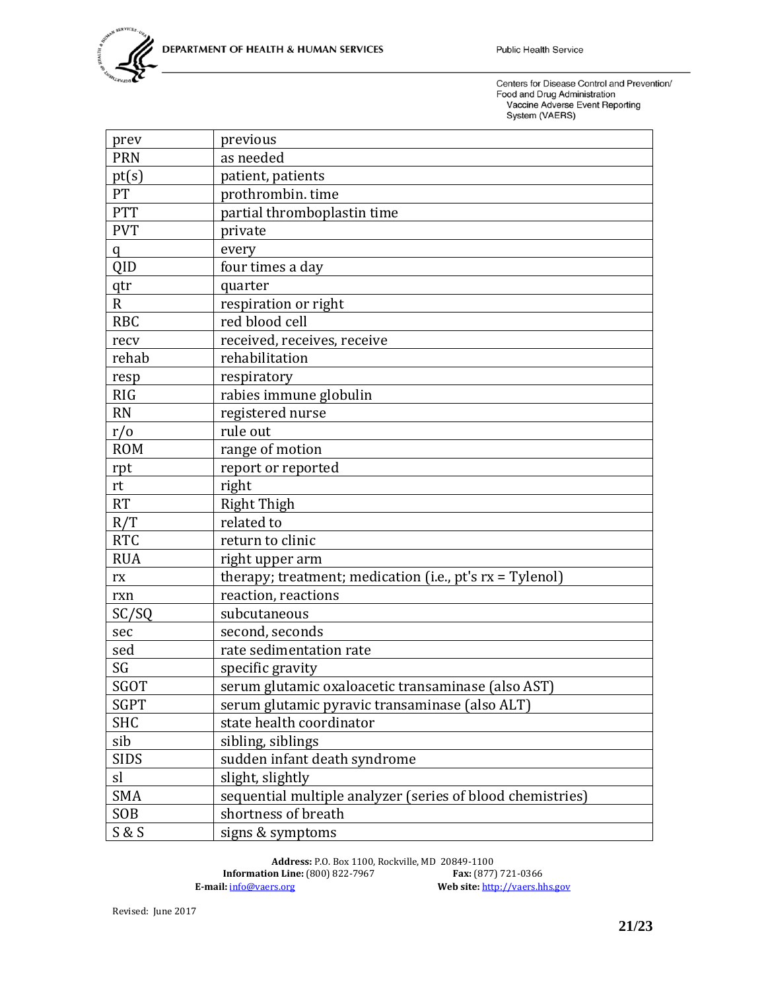| prev           | previous                                                    |
|----------------|-------------------------------------------------------------|
| <b>PRN</b>     | as needed                                                   |
| pt(s)          | patient, patients                                           |
| PT             | prothrombin. time                                           |
| <b>PTT</b>     | partial thromboplastin time                                 |
| <b>PVT</b>     | private                                                     |
| q              | every                                                       |
| QID            | four times a day                                            |
| qtr            | quarter                                                     |
| $\overline{R}$ | respiration or right                                        |
| <b>RBC</b>     | red blood cell                                              |
| recv           | received, receives, receive                                 |
| rehab          | rehabilitation                                              |
| resp           | respiratory                                                 |
| <b>RIG</b>     | rabies immune globulin                                      |
| <b>RN</b>      | registered nurse                                            |
| r/0            | rule out                                                    |
| <b>ROM</b>     | range of motion                                             |
| rpt            | report or reported                                          |
| rt             | right                                                       |
| <b>RT</b>      | <b>Right Thigh</b>                                          |
| R/T            | related to                                                  |
| <b>RTC</b>     | return to clinic                                            |
| <b>RUA</b>     | right upper arm                                             |
| rx             | therapy; treatment; medication (i.e., $pt's rx = Tylenol$ ) |
| rxn            | reaction, reactions                                         |
| SC/SQ          | subcutaneous                                                |
| sec            | second, seconds                                             |
| sed            | rate sedimentation rate                                     |
| SG             | specific gravity                                            |
| SGOT           | serum glutamic oxaloacetic transaminase (also AST)          |
| <b>SGPT</b>    | serum glutamic pyravic transaminase (also ALT)              |
| <b>SHC</b>     | state health coordinator                                    |
| sib            | sibling, siblings                                           |
| <b>SIDS</b>    | sudden infant death syndrome                                |
| sl             | slight, slightly                                            |
| <b>SMA</b>     | sequential multiple analyzer (series of blood chemistries)  |
| <b>SOB</b>     | shortness of breath                                         |
| S & S          | signs & symptoms                                            |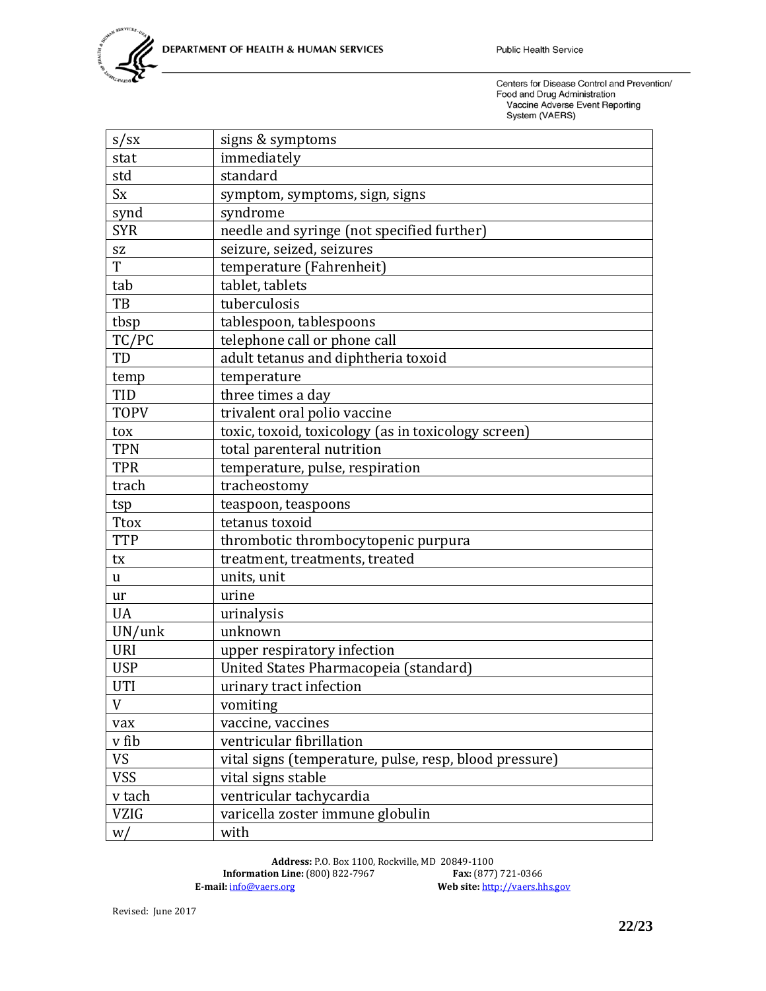| $s$ /sx     | signs & symptoms                                       |
|-------------|--------------------------------------------------------|
| stat        | immediately                                            |
| std         | standard                                               |
| <b>Sx</b>   | symptom, symptoms, sign, signs                         |
| synd        | syndrome                                               |
| <b>SYR</b>  | needle and syringe (not specified further)             |
| SZ          | seizure, seized, seizures                              |
| T           | temperature (Fahrenheit)                               |
| tab         | tablet, tablets                                        |
| TB          | tuberculosis                                           |
| tbsp        | tablespoon, tablespoons                                |
| TC/PC       | telephone call or phone call                           |
| TD          | adult tetanus and diphtheria toxoid                    |
| temp        | temperature                                            |
| <b>TID</b>  | three times a day                                      |
| <b>TOPV</b> | trivalent oral polio vaccine                           |
| tox         | toxic, toxoid, toxicology (as in toxicology screen)    |
| <b>TPN</b>  | total parenteral nutrition                             |
| <b>TPR</b>  | temperature, pulse, respiration                        |
| trach       | tracheostomy                                           |
| tsp         | teaspoon, teaspoons                                    |
| <b>Ttox</b> | tetanus toxoid                                         |
| <b>TTP</b>  | thrombotic thrombocytopenic purpura                    |
| tx          | treatment, treatments, treated                         |
| u           | units, unit                                            |
| ur          | urine                                                  |
| <b>UA</b>   | urinalysis                                             |
| UN/unk      | unknown                                                |
| <b>URI</b>  | upper respiratory infection                            |
| <b>USP</b>  | United States Pharmacopeia (standard)                  |
| <b>UTI</b>  | urinary tract infection                                |
| V           | vomiting                                               |
| vax         | vaccine, vaccines                                      |
| v fib       | ventricular fibrillation                               |
| <b>VS</b>   | vital signs (temperature, pulse, resp, blood pressure) |
| <b>VSS</b>  | vital signs stable                                     |
| v tach      | ventricular tachycardia                                |
| <b>VZIG</b> | varicella zoster immune globulin                       |
| W/          | with                                                   |